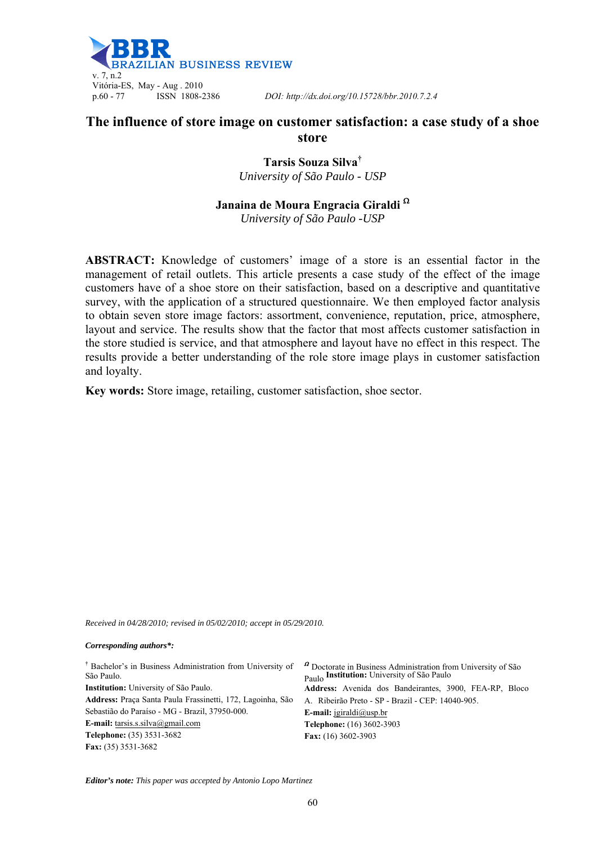

p.60 - 77 ISSN 1808-2386 *DOI: http://dx.doi.org/10.15728/bbr.2010.7.2.4* 

# **The influence of store image on customer satisfaction: a case study of a shoe store**

**Tarsis Souza Silva†** *University of São Paulo - USP* 

### **Janaina de Moura Engracia Giraldi**

*University of São Paulo -USP* 

**ABSTRACT:** Knowledge of customers' image of a store is an essential factor in the management of retail outlets. This article presents a case study of the effect of the image customers have of a shoe store on their satisfaction, based on a descriptive and quantitative survey, with the application of a structured questionnaire. We then employed factor analysis to obtain seven store image factors: assortment, convenience, reputation, price, atmosphere, layout and service. The results show that the factor that most affects customer satisfaction in the store studied is service, and that atmosphere and layout have no effect in this respect. The results provide a better understanding of the role store image plays in customer satisfaction and loyalty.

**Key words:** Store image, retailing, customer satisfaction, shoe sector.

*Received in 04/28/2010; revised in 05/02/2010; accept in 05/29/2010.* 

#### *Corresponding authors\*:*

| <sup>†</sup> Bachelor's in Business Administration from University of<br><sup>2</sup> Doctorate in Business Administration from University of São |                                                        |  |  |  |
|---------------------------------------------------------------------------------------------------------------------------------------------------|--------------------------------------------------------|--|--|--|
| São Paulo.                                                                                                                                        | Paulo Institution: University of São Paulo             |  |  |  |
| <b>Institution:</b> University of São Paulo.                                                                                                      | Address: Avenida dos Bandeirantes, 3900, FEA-RP, Bloco |  |  |  |
| Address: Praca Santa Paula Frassinetti, 172, Lagoinha, São                                                                                        | A. Ribeirão Preto - SP - Brazil - CEP: 14040-905.      |  |  |  |
| Sebastião do Paraíso - MG - Brazil, 37950-000.<br><b>E-mail:</b> igiraldi@usp.br                                                                  |                                                        |  |  |  |
| <b>E-mail:</b> tarsis.s.silva@gmail.com                                                                                                           | <b>Telephone:</b> (16) 3602-3903                       |  |  |  |
| <b>Telephone:</b> (35) 3531-3682                                                                                                                  | Fax: $(16)$ 3602-3903                                  |  |  |  |
| <b>Fax:</b> $(35)$ 3531-3682                                                                                                                      |                                                        |  |  |  |
|                                                                                                                                                   |                                                        |  |  |  |

*Editor's note: This paper was accepted by Antonio Lopo Martinez*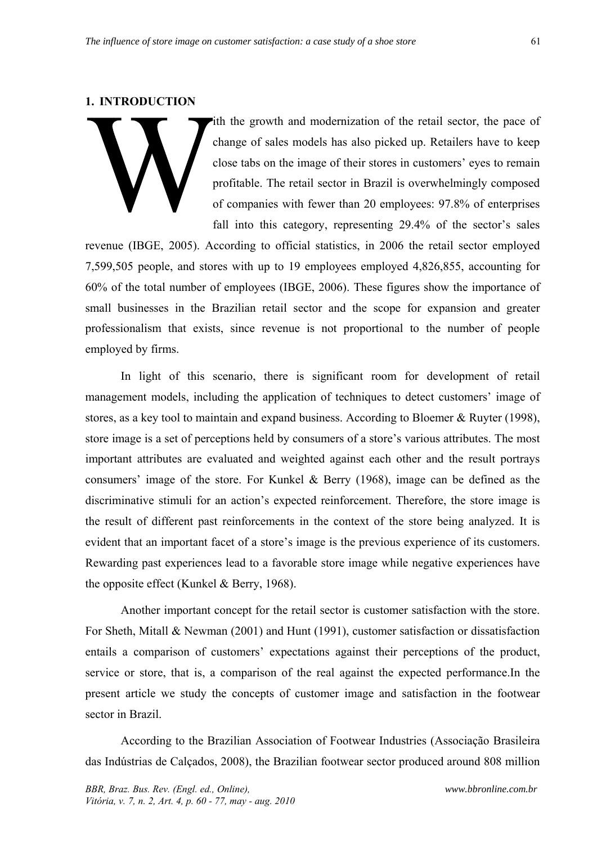#### **1. INTRODUCTION**

ith the growth and modernization of the retail sector, the pace of change of sales models has also picked up. Retailers have to keep close tabs on the image of their stores in customers' eyes to remain profitable. The retail sector in Brazil is overwhelmingly composed of companies with fewer than 20 employees: 97.8% of enterprises fall into this category, representing 29.4% of the sector's sales

revenue (IBGE, 2005). According to official statistics, in 2006 the retail sector employed 7,599,505 people, and stores with up to 19 employees employed 4,826,855, accounting for 60% of the total number of employees (IBGE, 2006). These figures show the importance of small businesses in the Brazilian retail sector and the scope for expansion and greater professionalism that exists, since revenue is not proportional to the number of people employed by firms.

In light of this scenario, there is significant room for development of retail management models, including the application of techniques to detect customers' image of stores, as a key tool to maintain and expand business. According to Bloemer & Ruyter (1998), store image is a set of perceptions held by consumers of a store's various attributes. The most important attributes are evaluated and weighted against each other and the result portrays consumers' image of the store. For Kunkel & Berry (1968), image can be defined as the discriminative stimuli for an action's expected reinforcement. Therefore, the store image is the result of different past reinforcements in the context of the store being analyzed. It is evident that an important facet of a store's image is the previous experience of its customers. Rewarding past experiences lead to a favorable store image while negative experiences have the opposite effect (Kunkel & Berry, 1968).

Another important concept for the retail sector is customer satisfaction with the store. For Sheth, Mitall & Newman (2001) and Hunt (1991), customer satisfaction or dissatisfaction entails a comparison of customers' expectations against their perceptions of the product, service or store, that is, a comparison of the real against the expected performance.In the present article we study the concepts of customer image and satisfaction in the footwear sector in Brazil.

According to the Brazilian Association of Footwear Industries (Associação Brasileira das Indústrias de Calçados, 2008), the Brazilian footwear sector produced around 808 million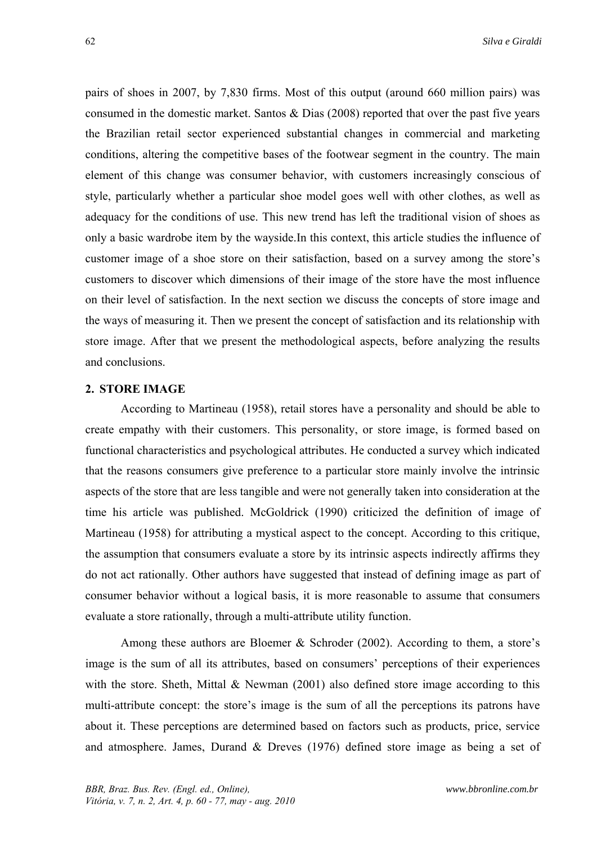pairs of shoes in 2007, by 7,830 firms. Most of this output (around 660 million pairs) was consumed in the domestic market. Santos & Dias (2008) reported that over the past five years the Brazilian retail sector experienced substantial changes in commercial and marketing conditions, altering the competitive bases of the footwear segment in the country. The main element of this change was consumer behavior, with customers increasingly conscious of style, particularly whether a particular shoe model goes well with other clothes, as well as adequacy for the conditions of use. This new trend has left the traditional vision of shoes as only a basic wardrobe item by the wayside.In this context, this article studies the influence of customer image of a shoe store on their satisfaction, based on a survey among the store's customers to discover which dimensions of their image of the store have the most influence on their level of satisfaction. In the next section we discuss the concepts of store image and the ways of measuring it. Then we present the concept of satisfaction and its relationship with store image. After that we present the methodological aspects, before analyzing the results and conclusions.

### **2. STORE IMAGE**

According to Martineau (1958), retail stores have a personality and should be able to create empathy with their customers. This personality, or store image, is formed based on functional characteristics and psychological attributes. He conducted a survey which indicated that the reasons consumers give preference to a particular store mainly involve the intrinsic aspects of the store that are less tangible and were not generally taken into consideration at the time his article was published. McGoldrick (1990) criticized the definition of image of Martineau (1958) for attributing a mystical aspect to the concept. According to this critique, the assumption that consumers evaluate a store by its intrinsic aspects indirectly affirms they do not act rationally. Other authors have suggested that instead of defining image as part of consumer behavior without a logical basis, it is more reasonable to assume that consumers evaluate a store rationally, through a multi-attribute utility function.

Among these authors are Bloemer & Schroder (2002). According to them, a store's image is the sum of all its attributes, based on consumers' perceptions of their experiences with the store. Sheth, Mittal & Newman (2001) also defined store image according to this multi-attribute concept: the store's image is the sum of all the perceptions its patrons have about it. These perceptions are determined based on factors such as products, price, service and atmosphere. James, Durand & Dreves (1976) defined store image as being a set of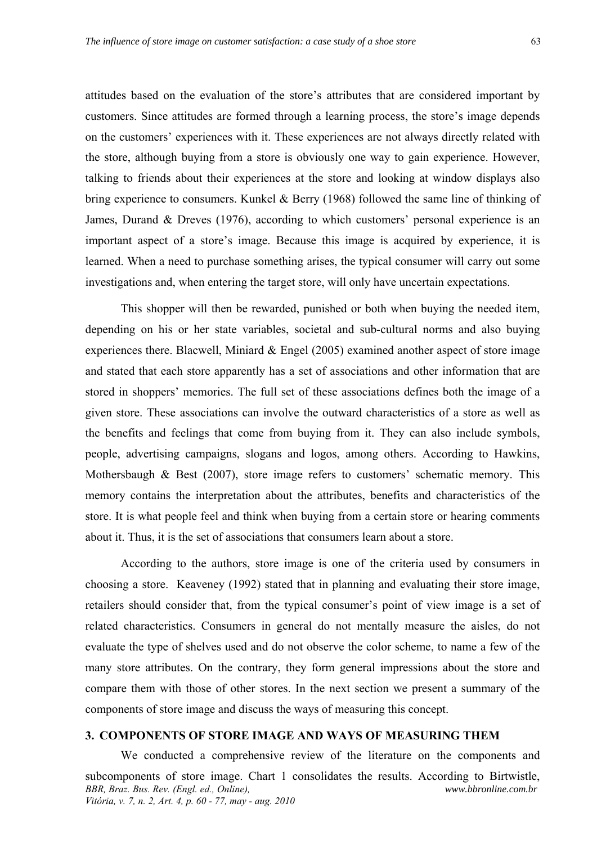attitudes based on the evaluation of the store's attributes that are considered important by customers. Since attitudes are formed through a learning process, the store's image depends on the customers' experiences with it. These experiences are not always directly related with the store, although buying from a store is obviously one way to gain experience. However, talking to friends about their experiences at the store and looking at window displays also bring experience to consumers. Kunkel & Berry (1968) followed the same line of thinking of James, Durand & Dreves (1976), according to which customers' personal experience is an important aspect of a store's image. Because this image is acquired by experience, it is learned. When a need to purchase something arises, the typical consumer will carry out some investigations and, when entering the target store, will only have uncertain expectations.

This shopper will then be rewarded, punished or both when buying the needed item, depending on his or her state variables, societal and sub-cultural norms and also buying experiences there. Blacwell, Miniard  $&$  Engel (2005) examined another aspect of store image and stated that each store apparently has a set of associations and other information that are stored in shoppers' memories. The full set of these associations defines both the image of a given store. These associations can involve the outward characteristics of a store as well as the benefits and feelings that come from buying from it. They can also include symbols, people, advertising campaigns, slogans and logos, among others. According to Hawkins, Mothersbaugh & Best (2007), store image refers to customers' schematic memory. This memory contains the interpretation about the attributes, benefits and characteristics of the store. It is what people feel and think when buying from a certain store or hearing comments about it. Thus, it is the set of associations that consumers learn about a store.

According to the authors, store image is one of the criteria used by consumers in choosing a store. Keaveney (1992) stated that in planning and evaluating their store image, retailers should consider that, from the typical consumer's point of view image is a set of related characteristics. Consumers in general do not mentally measure the aisles, do not evaluate the type of shelves used and do not observe the color scheme, to name a few of the many store attributes. On the contrary, they form general impressions about the store and compare them with those of other stores. In the next section we present a summary of the components of store image and discuss the ways of measuring this concept.

# **3. COMPONENTS OF STORE IMAGE AND WAYS OF MEASURING THEM**

*BBR, Braz. Bus. Rev. (Engl. ed., Online), Vitória, v. 7, n. 2, Art. 4, p. 60 - 77, may - aug. 2010 www.bbronline.com.br*  We conducted a comprehensive review of the literature on the components and subcomponents of store image. Chart 1 consolidates the results. According to Birtwistle,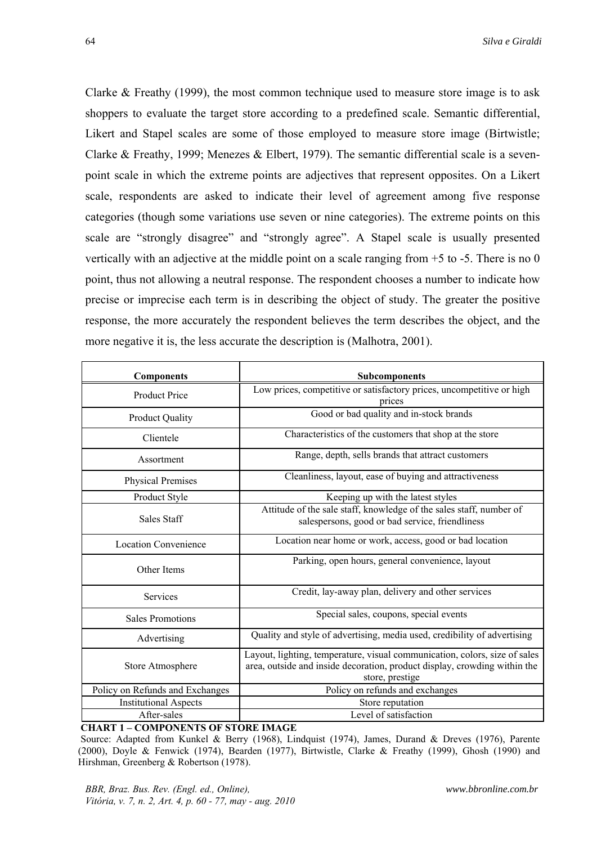Clarke & Freathy (1999), the most common technique used to measure store image is to ask shoppers to evaluate the target store according to a predefined scale. Semantic differential, Likert and Stapel scales are some of those employed to measure store image (Birtwistle; Clarke & Freathy, 1999; Menezes & Elbert, 1979). The semantic differential scale is a sevenpoint scale in which the extreme points are adjectives that represent opposites. On a Likert scale, respondents are asked to indicate their level of agreement among five response categories (though some variations use seven or nine categories). The extreme points on this scale are "strongly disagree" and "strongly agree". A Stapel scale is usually presented vertically with an adjective at the middle point on a scale ranging from +5 to -5. There is no 0 point, thus not allowing a neutral response. The respondent chooses a number to indicate how precise or imprecise each term is in describing the object of study. The greater the positive response, the more accurately the respondent believes the term describes the object, and the more negative it is, the less accurate the description is (Malhotra, 2001).

| <b>Components</b>               | <b>Subcomponents</b>                                                                                                                                                       |  |  |  |
|---------------------------------|----------------------------------------------------------------------------------------------------------------------------------------------------------------------------|--|--|--|
| <b>Product Price</b>            | Low prices, competitive or satisfactory prices, uncompetitive or high<br>prices                                                                                            |  |  |  |
| <b>Product Quality</b>          | Good or bad quality and in-stock brands                                                                                                                                    |  |  |  |
| Clientele                       | Characteristics of the customers that shop at the store                                                                                                                    |  |  |  |
| Assortment                      | Range, depth, sells brands that attract customers                                                                                                                          |  |  |  |
| Physical Premises               | Cleanliness, layout, ease of buying and attractiveness                                                                                                                     |  |  |  |
| Product Style                   | Keeping up with the latest styles                                                                                                                                          |  |  |  |
| <b>Sales Staff</b>              | Attitude of the sale staff, knowledge of the sales staff, number of<br>salespersons, good or bad service, friendliness                                                     |  |  |  |
| <b>Location Convenience</b>     | Location near home or work, access, good or bad location                                                                                                                   |  |  |  |
| Other Items                     | Parking, open hours, general convenience, layout                                                                                                                           |  |  |  |
| Services                        | Credit, lay-away plan, delivery and other services                                                                                                                         |  |  |  |
| <b>Sales Promotions</b>         | Special sales, coupons, special events                                                                                                                                     |  |  |  |
| Advertising                     | Quality and style of advertising, media used, credibility of advertising                                                                                                   |  |  |  |
| Store Atmosphere                | Layout, lighting, temperature, visual communication, colors, size of sales<br>area, outside and inside decoration, product display, crowding within the<br>store, prestige |  |  |  |
| Policy on Refunds and Exchanges | Policy on refunds and exchanges                                                                                                                                            |  |  |  |
| <b>Institutional Aspects</b>    | Store reputation                                                                                                                                                           |  |  |  |
| After-sales                     | Level of satisfaction                                                                                                                                                      |  |  |  |

#### **CHART 1 – COMPONENTS OF STORE IMAGE**

 Source: Adapted from Kunkel & Berry (1968), Lindquist (1974), James, Durand & Dreves (1976), Parente (2000), Doyle & Fenwick (1974), Bearden (1977), Birtwistle, Clarke & Freathy (1999), Ghosh (1990) and Hirshman, Greenberg & Robertson (1978).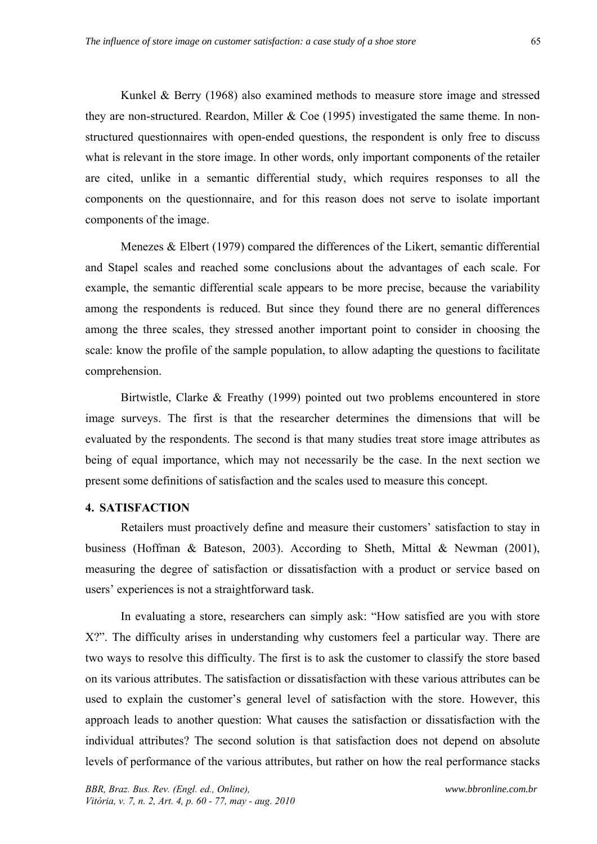Kunkel & Berry (1968) also examined methods to measure store image and stressed they are non-structured. Reardon, Miller  $& Coe (1995)$  investigated the same theme. In nonstructured questionnaires with open-ended questions, the respondent is only free to discuss what is relevant in the store image. In other words, only important components of the retailer are cited, unlike in a semantic differential study, which requires responses to all the components on the questionnaire, and for this reason does not serve to isolate important components of the image.

Menezes & Elbert (1979) compared the differences of the Likert, semantic differential and Stapel scales and reached some conclusions about the advantages of each scale. For example, the semantic differential scale appears to be more precise, because the variability among the respondents is reduced. But since they found there are no general differences among the three scales, they stressed another important point to consider in choosing the scale: know the profile of the sample population, to allow adapting the questions to facilitate comprehension.

Birtwistle, Clarke & Freathy (1999) pointed out two problems encountered in store image surveys. The first is that the researcher determines the dimensions that will be evaluated by the respondents. The second is that many studies treat store image attributes as being of equal importance, which may not necessarily be the case. In the next section we present some definitions of satisfaction and the scales used to measure this concept.

## **4. SATISFACTION**

Retailers must proactively define and measure their customers' satisfaction to stay in business (Hoffman & Bateson, 2003). According to Sheth, Mittal & Newman (2001), measuring the degree of satisfaction or dissatisfaction with a product or service based on users' experiences is not a straightforward task.

In evaluating a store, researchers can simply ask: "How satisfied are you with store X?". The difficulty arises in understanding why customers feel a particular way. There are two ways to resolve this difficulty. The first is to ask the customer to classify the store based on its various attributes. The satisfaction or dissatisfaction with these various attributes can be used to explain the customer's general level of satisfaction with the store. However, this approach leads to another question: What causes the satisfaction or dissatisfaction with the individual attributes? The second solution is that satisfaction does not depend on absolute levels of performance of the various attributes, but rather on how the real performance stacks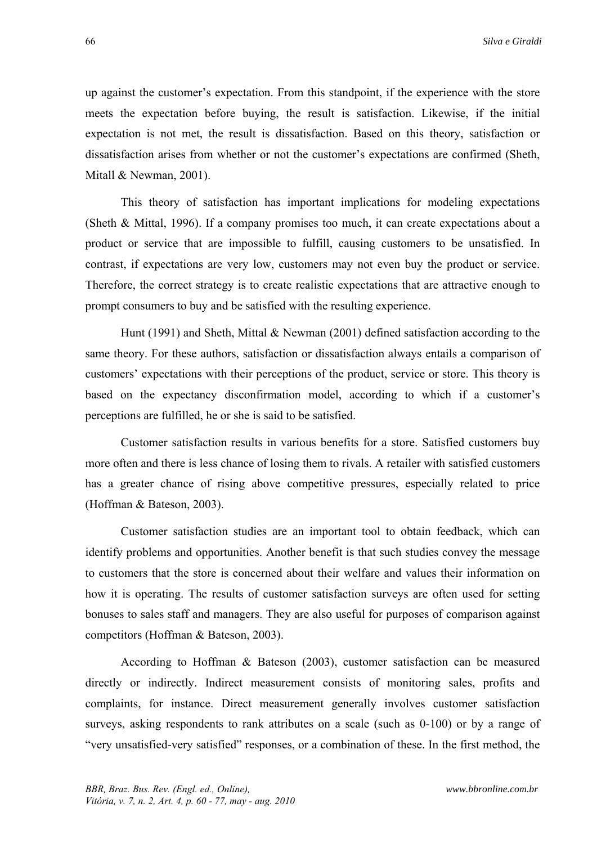up against the customer's expectation. From this standpoint, if the experience with the store meets the expectation before buying, the result is satisfaction. Likewise, if the initial expectation is not met, the result is dissatisfaction. Based on this theory, satisfaction or dissatisfaction arises from whether or not the customer's expectations are confirmed (Sheth, Mitall & Newman, 2001).

This theory of satisfaction has important implications for modeling expectations (Sheth & Mittal, 1996). If a company promises too much, it can create expectations about a product or service that are impossible to fulfill, causing customers to be unsatisfied. In contrast, if expectations are very low, customers may not even buy the product or service. Therefore, the correct strategy is to create realistic expectations that are attractive enough to prompt consumers to buy and be satisfied with the resulting experience.

Hunt (1991) and Sheth, Mittal & Newman (2001) defined satisfaction according to the same theory. For these authors, satisfaction or dissatisfaction always entails a comparison of customers' expectations with their perceptions of the product, service or store. This theory is based on the expectancy disconfirmation model, according to which if a customer's perceptions are fulfilled, he or she is said to be satisfied.

Customer satisfaction results in various benefits for a store. Satisfied customers buy more often and there is less chance of losing them to rivals. A retailer with satisfied customers has a greater chance of rising above competitive pressures, especially related to price (Hoffman & Bateson, 2003).

Customer satisfaction studies are an important tool to obtain feedback, which can identify problems and opportunities. Another benefit is that such studies convey the message to customers that the store is concerned about their welfare and values their information on how it is operating. The results of customer satisfaction surveys are often used for setting bonuses to sales staff and managers. They are also useful for purposes of comparison against competitors (Hoffman & Bateson, 2003).

According to Hoffman & Bateson (2003), customer satisfaction can be measured directly or indirectly. Indirect measurement consists of monitoring sales, profits and complaints, for instance. Direct measurement generally involves customer satisfaction surveys, asking respondents to rank attributes on a scale (such as 0-100) or by a range of "very unsatisfied-very satisfied" responses, or a combination of these. In the first method, the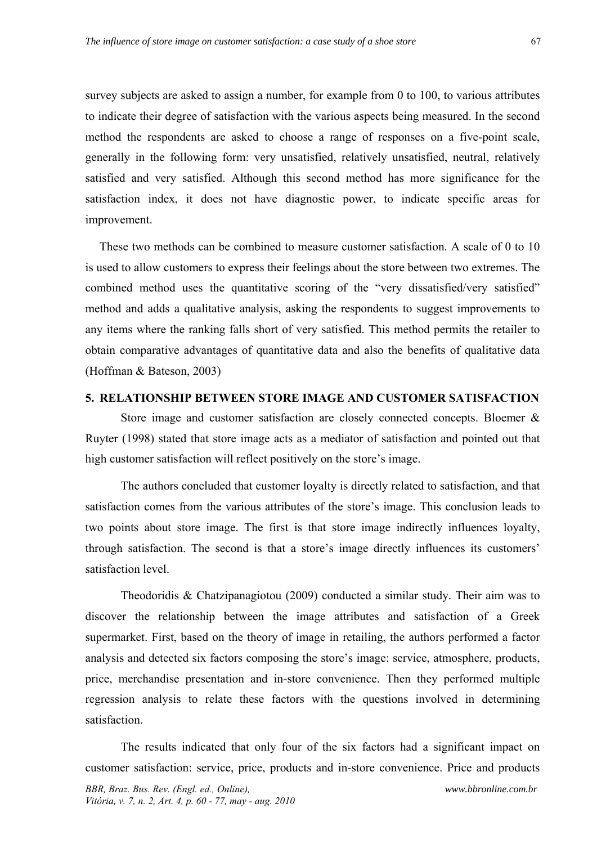survey subjects are asked to assign a number, for example from 0 to 100, to various attributes to indicate their degree of satisfaction with the various aspects being measured. In the second method the respondents are asked to choose a range of responses on a five-point scale, generally in the following form: very unsatisfied, relatively unsatisfied, neutral, relatively satisfied and very satisfied. Although this second method has more significance for the satisfaction index, it does not have diagnostic power, to indicate specific areas for improvement.

These two methods can be combined to measure customer satisfaction. A scale of 0 to 10 is used to allow customers to express their feelings about the store between two extremes. The combined method uses the quantitative scoring of the "very dissatisfied/very satisfied" method and adds a qualitative analysis, asking the respondents to suggest improvements to any items where the ranking falls short of very satisfied. This method permits the retailer to obtain comparative advantages of quantitative data and also the benefits of qualitative data (Hoffman & Bateson, 2003)

### **5. RELATIONSHIP BETWEEN STORE IMAGE AND CUSTOMER SATISFACTION**

Store image and customer satisfaction are closely connected concepts. Bloemer & Ruyter (1998) stated that store image acts as a mediator of satisfaction and pointed out that high customer satisfaction will reflect positively on the store's image.

The authors concluded that customer loyalty is directly related to satisfaction, and that satisfaction comes from the various attributes of the store's image. This conclusion leads to two points about store image. The first is that store image indirectly influences loyalty, through satisfaction. The second is that a store's image directly influences its customers' satisfaction level.

Theodoridis & Chatzipanagiotou (2009) conducted a similar study. Their aim was to discover the relationship between the image attributes and satisfaction of a Greek supermarket. First, based on the theory of image in retailing, the authors performed a factor analysis and detected six factors composing the store's image: service, atmosphere, products, price, merchandise presentation and in-store convenience. Then they performed multiple regression analysis to relate these factors with the questions involved in determining satisfaction.

The results indicated that only four of the six factors had a significant impact on customer satisfaction: service, price, products and in-store convenience. Price and products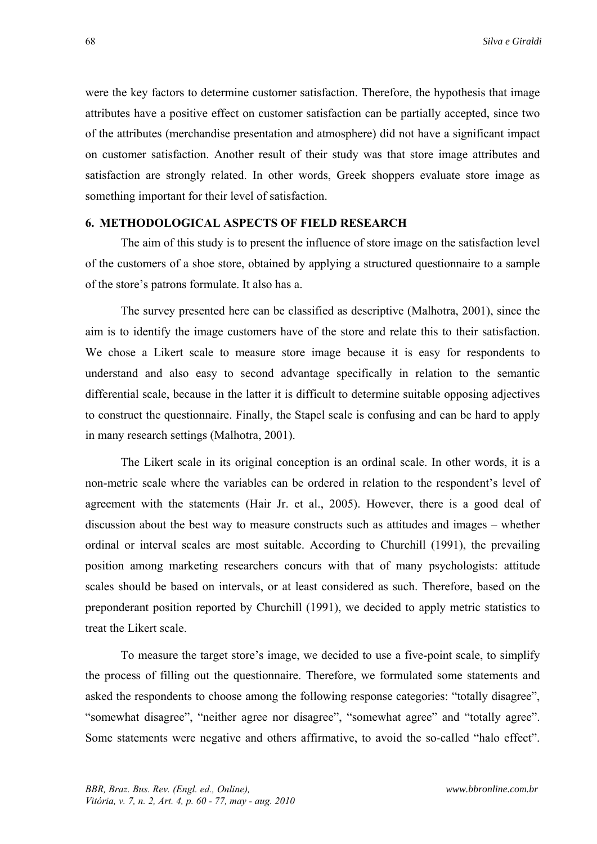were the key factors to determine customer satisfaction. Therefore, the hypothesis that image attributes have a positive effect on customer satisfaction can be partially accepted, since two of the attributes (merchandise presentation and atmosphere) did not have a significant impact on customer satisfaction. Another result of their study was that store image attributes and satisfaction are strongly related. In other words, Greek shoppers evaluate store image as something important for their level of satisfaction.

#### **6. METHODOLOGICAL ASPECTS OF FIELD RESEARCH**

The aim of this study is to present the influence of store image on the satisfaction level of the customers of a shoe store, obtained by applying a structured questionnaire to a sample of the store's patrons formulate. It also has a.

The survey presented here can be classified as descriptive (Malhotra, 2001), since the aim is to identify the image customers have of the store and relate this to their satisfaction. We chose a Likert scale to measure store image because it is easy for respondents to understand and also easy to second advantage specifically in relation to the semantic differential scale, because in the latter it is difficult to determine suitable opposing adjectives to construct the questionnaire. Finally, the Stapel scale is confusing and can be hard to apply in many research settings (Malhotra, 2001).

The Likert scale in its original conception is an ordinal scale. In other words, it is a non-metric scale where the variables can be ordered in relation to the respondent's level of agreement with the statements (Hair Jr. et al., 2005). However, there is a good deal of discussion about the best way to measure constructs such as attitudes and images – whether ordinal or interval scales are most suitable. According to Churchill (1991), the prevailing position among marketing researchers concurs with that of many psychologists: attitude scales should be based on intervals, or at least considered as such. Therefore, based on the preponderant position reported by Churchill (1991), we decided to apply metric statistics to treat the Likert scale.

To measure the target store's image, we decided to use a five-point scale, to simplify the process of filling out the questionnaire. Therefore, we formulated some statements and asked the respondents to choose among the following response categories: "totally disagree", "somewhat disagree", "neither agree nor disagree", "somewhat agree" and "totally agree". Some statements were negative and others affirmative, to avoid the so-called "halo effect".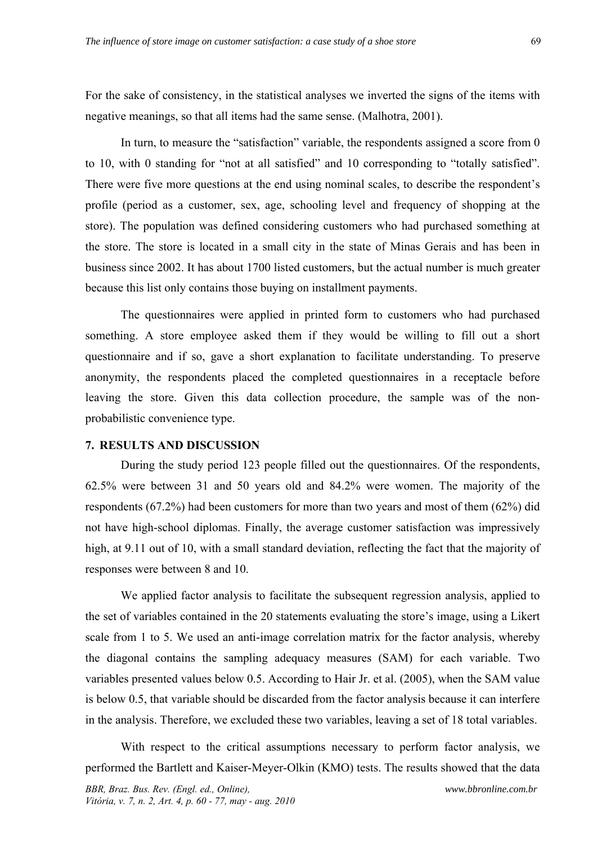For the sake of consistency, in the statistical analyses we inverted the signs of the items with negative meanings, so that all items had the same sense. (Malhotra, 2001).

In turn, to measure the "satisfaction" variable, the respondents assigned a score from 0 to 10, with 0 standing for "not at all satisfied" and 10 corresponding to "totally satisfied". There were five more questions at the end using nominal scales, to describe the respondent's profile (period as a customer, sex, age, schooling level and frequency of shopping at the store). The population was defined considering customers who had purchased something at the store. The store is located in a small city in the state of Minas Gerais and has been in business since 2002. It has about 1700 listed customers, but the actual number is much greater because this list only contains those buying on installment payments.

The questionnaires were applied in printed form to customers who had purchased something. A store employee asked them if they would be willing to fill out a short questionnaire and if so, gave a short explanation to facilitate understanding. To preserve anonymity, the respondents placed the completed questionnaires in a receptacle before leaving the store. Given this data collection procedure, the sample was of the nonprobabilistic convenience type.

### **7. RESULTS AND DISCUSSION**

During the study period 123 people filled out the questionnaires. Of the respondents, 62.5% were between 31 and 50 years old and 84.2% were women. The majority of the respondents (67.2%) had been customers for more than two years and most of them (62%) did not have high-school diplomas. Finally, the average customer satisfaction was impressively high, at 9.11 out of 10, with a small standard deviation, reflecting the fact that the majority of responses were between 8 and 10.

We applied factor analysis to facilitate the subsequent regression analysis, applied to the set of variables contained in the 20 statements evaluating the store's image, using a Likert scale from 1 to 5. We used an anti-image correlation matrix for the factor analysis, whereby the diagonal contains the sampling adequacy measures (SAM) for each variable. Two variables presented values below 0.5. According to Hair Jr. et al. (2005), when the SAM value is below 0.5, that variable should be discarded from the factor analysis because it can interfere in the analysis. Therefore, we excluded these two variables, leaving a set of 18 total variables.

With respect to the critical assumptions necessary to perform factor analysis, we performed the Bartlett and Kaiser-Meyer-Olkin (KMO) tests. The results showed that the data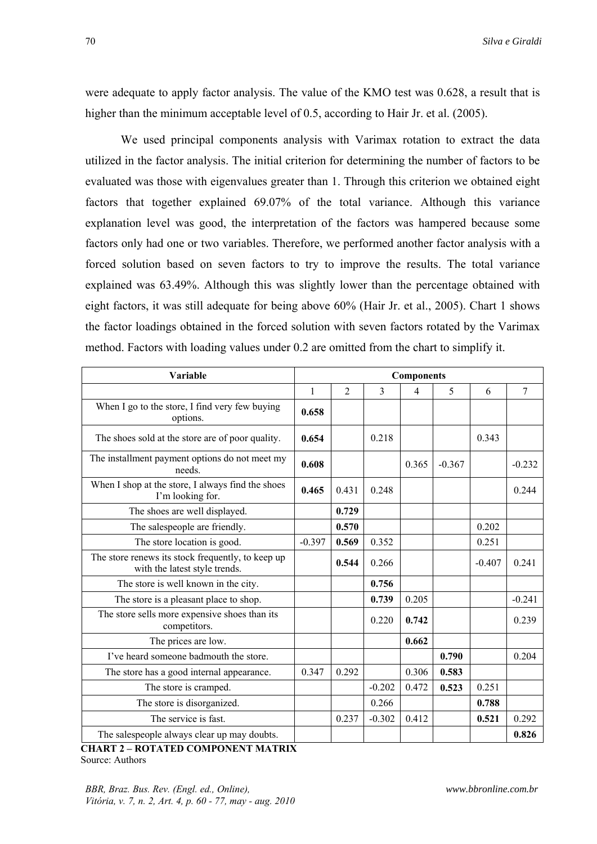were adequate to apply factor analysis. The value of the KMO test was 0.628, a result that is higher than the minimum acceptable level of 0.5, according to Hair Jr. et al. (2005).

We used principal components analysis with Varimax rotation to extract the data utilized in the factor analysis. The initial criterion for determining the number of factors to be evaluated was those with eigenvalues greater than 1. Through this criterion we obtained eight factors that together explained 69.07% of the total variance. Although this variance explanation level was good, the interpretation of the factors was hampered because some factors only had one or two variables. Therefore, we performed another factor analysis with a forced solution based on seven factors to try to improve the results. The total variance explained was 63.49%. Although this was slightly lower than the percentage obtained with eight factors, it was still adequate for being above 60% (Hair Jr. et al., 2005). Chart 1 shows the factor loadings obtained in the forced solution with seven factors rotated by the Varimax method. Factors with loading values under 0.2 are omitted from the chart to simplify it.

| Variable                                                                           | <b>Components</b> |                |          |       |          |          |          |
|------------------------------------------------------------------------------------|-------------------|----------------|----------|-------|----------|----------|----------|
|                                                                                    | $\mathbf{1}$      | $\overline{2}$ | 3        | 4     | 5        | 6        | 7        |
| When I go to the store, I find very few buying<br>options.                         | 0.658             |                |          |       |          |          |          |
| The shoes sold at the store are of poor quality.                                   | 0.654             |                | 0.218    |       |          | 0.343    |          |
| The installment payment options do not meet my<br>needs.                           | 0.608             |                |          | 0.365 | $-0.367$ |          | $-0.232$ |
| When I shop at the store, I always find the shoes<br>I'm looking for.              | 0.465             | 0.431          | 0.248    |       |          |          | 0.244    |
| The shoes are well displayed.                                                      |                   | 0.729          |          |       |          |          |          |
| The salespeople are friendly.                                                      |                   | 0.570          |          |       |          | 0.202    |          |
| The store location is good.                                                        | $-0.397$          | 0.569          | 0.352    |       |          | 0.251    |          |
| The store renews its stock frequently, to keep up<br>with the latest style trends. |                   | 0.544          | 0.266    |       |          | $-0.407$ | 0.241    |
| The store is well known in the city.                                               |                   |                | 0.756    |       |          |          |          |
| The store is a pleasant place to shop.                                             |                   |                | 0.739    | 0.205 |          |          | $-0.241$ |
| The store sells more expensive shoes than its<br>competitors.                      |                   |                | 0.220    | 0.742 |          |          | 0.239    |
| The prices are low.                                                                |                   |                |          | 0.662 |          |          |          |
| I've heard someone badmouth the store.                                             |                   |                |          |       | 0.790    |          | 0.204    |
| The store has a good internal appearance.                                          | 0.347             | 0.292          |          | 0.306 | 0.583    |          |          |
| The store is cramped.                                                              |                   |                | $-0.202$ | 0.472 | 0.523    | 0.251    |          |
| The store is disorganized.                                                         |                   |                | 0.266    |       |          | 0.788    |          |
| The service is fast.                                                               |                   | 0.237          | $-0.302$ | 0.412 |          | 0.521    | 0.292    |
| The salespeople always clear up may doubts.                                        |                   |                |          |       |          |          | 0.826    |

 **CHART 2 – ROTATED COMPONENT MATRIX**  Source: Authors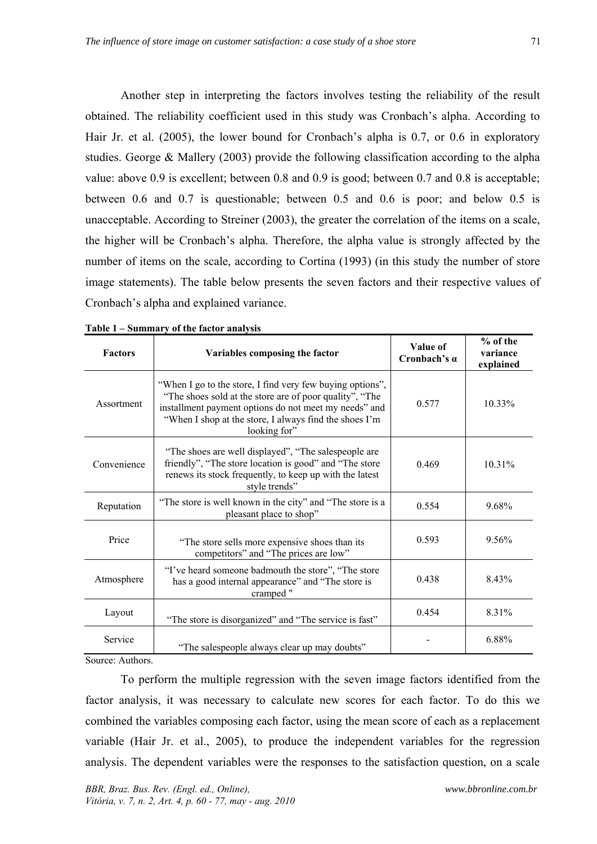Another step in interpreting the factors involves testing the reliability of the result obtained. The reliability coefficient used in this study was Cronbach's alpha. According to Hair Jr. et al. (2005), the lower bound for Cronbach's alpha is 0.7, or 0.6 in exploratory studies. George & Mallery (2003) provide the following classification according to the alpha value: above 0.9 is excellent; between 0.8 and 0.9 is good; between 0.7 and 0.8 is acceptable; between 0.6 and 0.7 is questionable; between 0.5 and 0.6 is poor; and below 0.5 is unacceptable. According to Streiner (2003), the greater the correlation of the items on a scale, the higher will be Cronbach's alpha. Therefore, the alpha value is strongly affected by the number of items on the scale, according to Cortina (1993) (in this study the number of store image statements). The table below presents the seven factors and their respective values of Cronbach's alpha and explained variance.

| <b>Factors</b> | Variables composing the factor                                                                                                                                                                                                                          | Value of<br>Cronbach's $\alpha$ | % of the<br>variance<br>explained |
|----------------|---------------------------------------------------------------------------------------------------------------------------------------------------------------------------------------------------------------------------------------------------------|---------------------------------|-----------------------------------|
| Assortment     | "When I go to the store, I find very few buying options",<br>"The shoes sold at the store are of poor quality", "The<br>installment payment options do not meet my needs" and<br>"When I shop at the store, I always find the shoes I'm<br>looking for" | 0.577                           | $10.33\%$                         |
| Convenience    | "The shoes are well displayed", "The salespeople are<br>friendly", "The store location is good" and "The store"<br>renews its stock frequently, to keep up with the latest<br>style trends"                                                             | 0.469                           | 10.31%                            |
| Reputation     | "The store is well known in the city" and "The store is a<br>pleasant place to shop"                                                                                                                                                                    | 0.554                           | 9.68%                             |
| Price          | "The store sells more expensive shoes than its<br>competitors" and "The prices are low"                                                                                                                                                                 | 0.593                           | 9.56%                             |
| Atmosphere     | "I've heard someone badmouth the store", "The store<br>has a good internal appearance" and "The store is<br>cramped "                                                                                                                                   |                                 | 8.43%                             |
| Layout         | "The store is disorganized" and "The service is fast"                                                                                                                                                                                                   | 0.454                           | 8.31%                             |
| Service        | "The salespeople always clear up may doubts"                                                                                                                                                                                                            |                                 | 6.88%                             |

| Table 1 – Summary of the factor analysis |  |  |
|------------------------------------------|--|--|
|                                          |  |  |

Source: Authors.

To perform the multiple regression with the seven image factors identified from the factor analysis, it was necessary to calculate new scores for each factor. To do this we combined the variables composing each factor, using the mean score of each as a replacement variable (Hair Jr. et al., 2005), to produce the independent variables for the regression analysis. The dependent variables were the responses to the satisfaction question, on a scale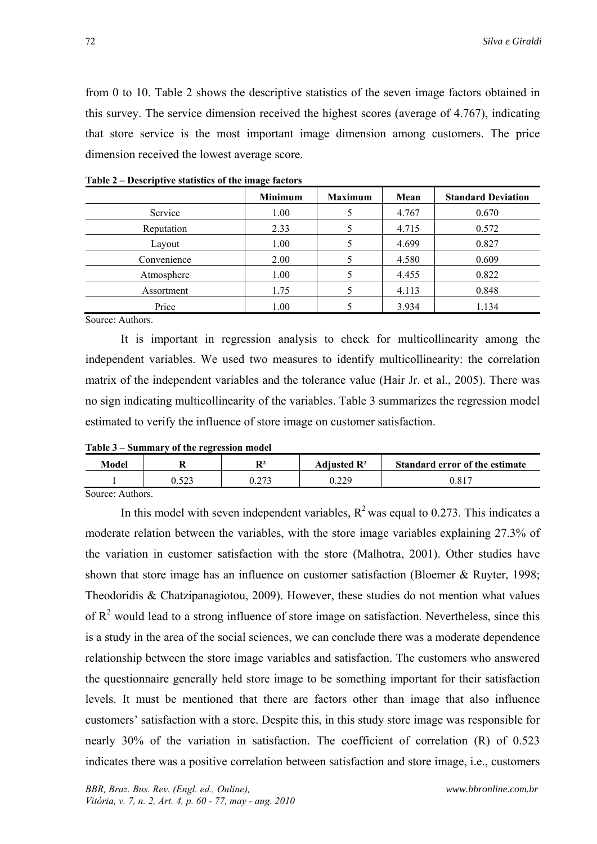from 0 to 10. Table 2 shows the descriptive statistics of the seven image factors obtained in this survey. The service dimension received the highest scores (average of 4.767), indicating that store service is the most important image dimension among customers. The price dimension received the lowest average score.

|             | <b>Minimum</b> | <b>Maximum</b> | Mean  | <b>Standard Deviation</b> |
|-------------|----------------|----------------|-------|---------------------------|
| Service     | 1.00           |                | 4.767 | 0.670                     |
| Reputation  | 2.33           |                | 4.715 | 0.572                     |
| Layout      | 1.00           |                | 4.699 | 0.827                     |
| Convenience | 2.00           |                | 4.580 | 0.609                     |
| Atmosphere  | 1.00           |                | 4.455 | 0.822                     |
| Assortment  | 1.75           |                | 4.113 | 0.848                     |
| Price       | 1.00           |                | 3.934 | 1.134                     |

**Table 2 – Descriptive statistics of the image factors** 

Source: Authors.

It is important in regression analysis to check for multicollinearity among the independent variables. We used two measures to identify multicollinearity: the correlation matrix of the independent variables and the tolerance value (Hair Jr. et al., 2005). There was no sign indicating multicollinearity of the variables. Table 3 summarizes the regression model estimated to verify the influence of store image on customer satisfaction.

#### **Table 3 – Summary of the regression model**

| Model                                                        | D2<br>n | Adjusted $\mathbb{R}^2$ | <b>Standard error of the estimate</b> |
|--------------------------------------------------------------|---------|-------------------------|---------------------------------------|
|                                                              | 272     | 0 רר ו                  | $0.81^{-}$                            |
| $C_{\alpha_1,\alpha_2,\alpha_1}$ , $\Lambda$ , $\star$ thora |         |                         |                                       |

Source: Authors.

In this model with seven independent variables,  $R^2$  was equal to 0.273. This indicates a moderate relation between the variables, with the store image variables explaining 27.3% of the variation in customer satisfaction with the store (Malhotra, 2001). Other studies have shown that store image has an influence on customer satisfaction (Bloemer & Ruyter, 1998; Theodoridis & Chatzipanagiotou, 2009). However, these studies do not mention what values of  $R<sup>2</sup>$  would lead to a strong influence of store image on satisfaction. Nevertheless, since this is a study in the area of the social sciences, we can conclude there was a moderate dependence relationship between the store image variables and satisfaction. The customers who answered the questionnaire generally held store image to be something important for their satisfaction levels. It must be mentioned that there are factors other than image that also influence customers' satisfaction with a store. Despite this, in this study store image was responsible for nearly 30% of the variation in satisfaction. The coefficient of correlation (R) of 0.523 indicates there was a positive correlation between satisfaction and store image, i.e., customers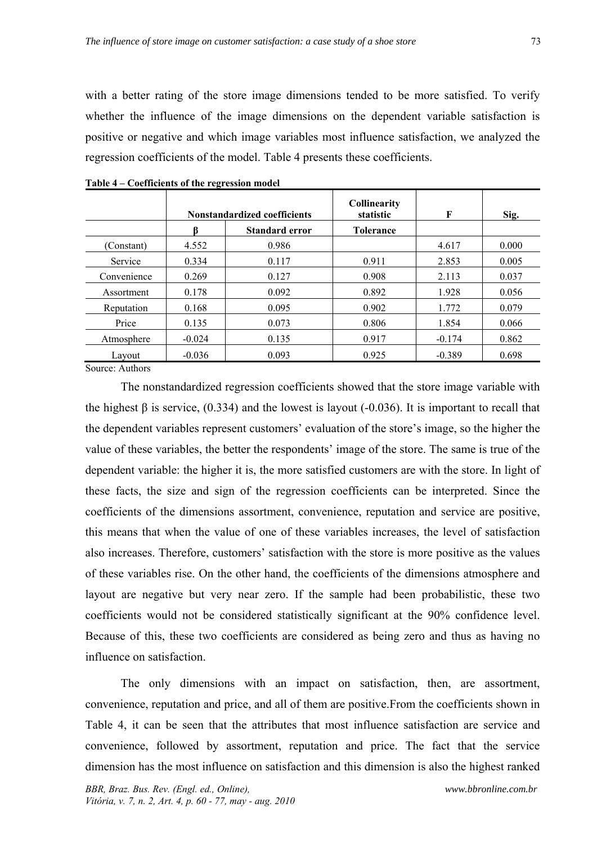with a better rating of the store image dimensions tended to be more satisfied. To verify whether the influence of the image dimensions on the dependent variable satisfaction is positive or negative and which image variables most influence satisfaction, we analyzed the regression coefficients of the model. Table 4 presents these coefficients.

|             | <b>Nonstandardized coefficients</b> |                | <b>Collinearity</b><br>statistic | F        | Sig.  |
|-------------|-------------------------------------|----------------|----------------------------------|----------|-------|
|             |                                     | Standard error | <b>Tolerance</b>                 |          |       |
| (Constant)  | 4.552                               | 0.986          |                                  | 4.617    | 0.000 |
| Service     | 0.334                               | 0.117          | 0.911                            | 2.853    | 0.005 |
| Convenience | 0.269                               | 0.127          | 0.908                            | 2.113    | 0.037 |
| Assortment  | 0.178                               | 0.092          | 0.892                            | 1.928    | 0.056 |
| Reputation  | 0.168                               | 0.095          | 0.902                            | 1.772    | 0.079 |
| Price       | 0.135                               | 0.073          | 0.806                            | 1.854    | 0.066 |
| Atmosphere  | $-0.024$                            | 0.135          | 0.917                            | $-0.174$ | 0.862 |
| Layout      | $-0.036$                            | 0.093          | 0.925                            | $-0.389$ | 0.698 |

**Table 4 – Coefficients of the regression model** 

Source: Authors

The nonstandardized regression coefficients showed that the store image variable with the highest  $\beta$  is service, (0.334) and the lowest is layout (-0.036). It is important to recall that the dependent variables represent customers' evaluation of the store's image, so the higher the value of these variables, the better the respondents' image of the store. The same is true of the dependent variable: the higher it is, the more satisfied customers are with the store. In light of these facts, the size and sign of the regression coefficients can be interpreted. Since the coefficients of the dimensions assortment, convenience, reputation and service are positive, this means that when the value of one of these variables increases, the level of satisfaction also increases. Therefore, customers' satisfaction with the store is more positive as the values of these variables rise. On the other hand, the coefficients of the dimensions atmosphere and layout are negative but very near zero. If the sample had been probabilistic, these two coefficients would not be considered statistically significant at the 90% confidence level. Because of this, these two coefficients are considered as being zero and thus as having no influence on satisfaction.

The only dimensions with an impact on satisfaction, then, are assortment, convenience, reputation and price, and all of them are positive.From the coefficients shown in Table 4, it can be seen that the attributes that most influence satisfaction are service and convenience, followed by assortment, reputation and price. The fact that the service dimension has the most influence on satisfaction and this dimension is also the highest ranked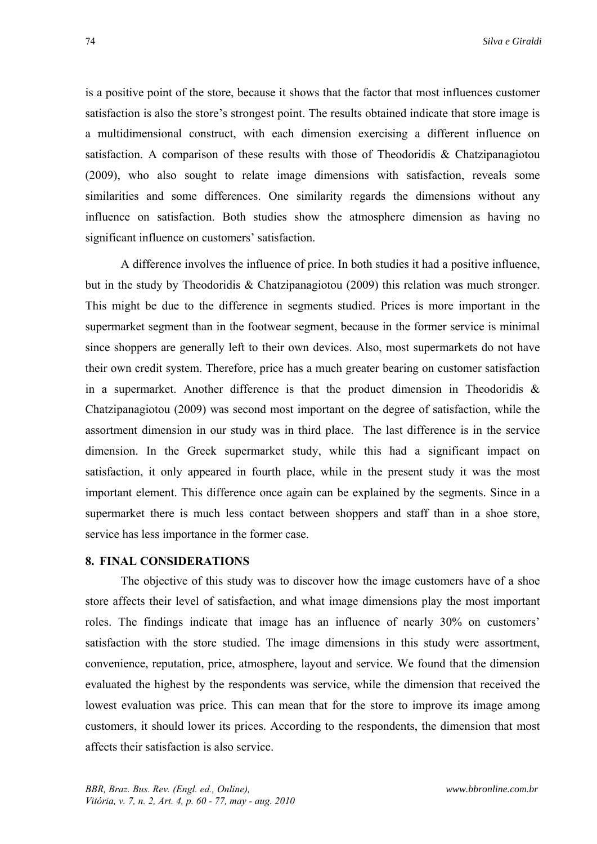is a positive point of the store, because it shows that the factor that most influences customer satisfaction is also the store's strongest point. The results obtained indicate that store image is a multidimensional construct, with each dimension exercising a different influence on satisfaction. A comparison of these results with those of Theodoridis & Chatzipanagiotou (2009), who also sought to relate image dimensions with satisfaction, reveals some similarities and some differences. One similarity regards the dimensions without any influence on satisfaction. Both studies show the atmosphere dimension as having no significant influence on customers' satisfaction.

A difference involves the influence of price. In both studies it had a positive influence, but in the study by Theodoridis & Chatzipanagiotou (2009) this relation was much stronger. This might be due to the difference in segments studied. Prices is more important in the supermarket segment than in the footwear segment, because in the former service is minimal since shoppers are generally left to their own devices. Also, most supermarkets do not have their own credit system. Therefore, price has a much greater bearing on customer satisfaction in a supermarket. Another difference is that the product dimension in Theodoridis  $\&$ Chatzipanagiotou (2009) was second most important on the degree of satisfaction, while the assortment dimension in our study was in third place. The last difference is in the service dimension. In the Greek supermarket study, while this had a significant impact on satisfaction, it only appeared in fourth place, while in the present study it was the most important element. This difference once again can be explained by the segments. Since in a supermarket there is much less contact between shoppers and staff than in a shoe store, service has less importance in the former case.

### **8. FINAL CONSIDERATIONS**

The objective of this study was to discover how the image customers have of a shoe store affects their level of satisfaction, and what image dimensions play the most important roles. The findings indicate that image has an influence of nearly 30% on customers' satisfaction with the store studied. The image dimensions in this study were assortment, convenience, reputation, price, atmosphere, layout and service. We found that the dimension evaluated the highest by the respondents was service, while the dimension that received the lowest evaluation was price. This can mean that for the store to improve its image among customers, it should lower its prices. According to the respondents, the dimension that most affects their satisfaction is also service.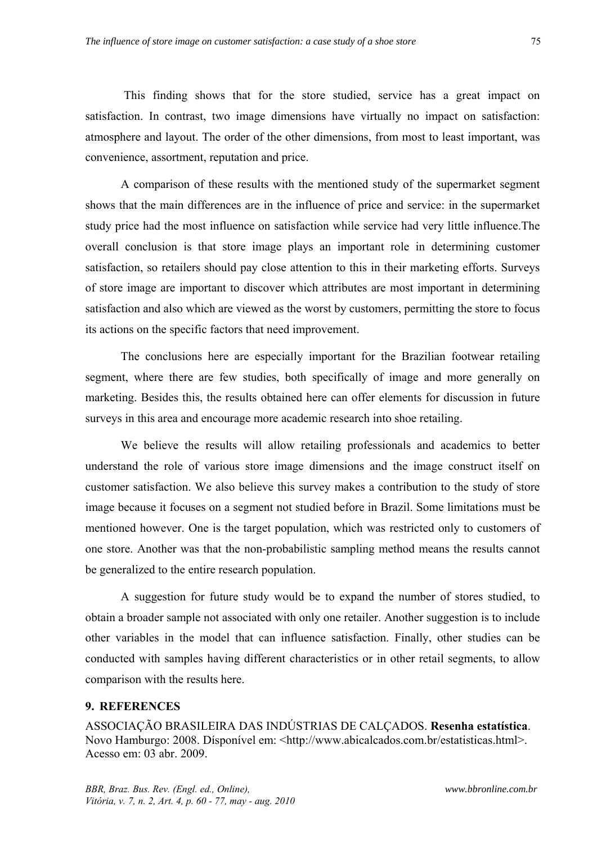This finding shows that for the store studied, service has a great impact on satisfaction. In contrast, two image dimensions have virtually no impact on satisfaction: atmosphere and layout. The order of the other dimensions, from most to least important, was convenience, assortment, reputation and price.

A comparison of these results with the mentioned study of the supermarket segment shows that the main differences are in the influence of price and service: in the supermarket study price had the most influence on satisfaction while service had very little influence.The overall conclusion is that store image plays an important role in determining customer satisfaction, so retailers should pay close attention to this in their marketing efforts. Surveys of store image are important to discover which attributes are most important in determining satisfaction and also which are viewed as the worst by customers, permitting the store to focus its actions on the specific factors that need improvement.

The conclusions here are especially important for the Brazilian footwear retailing segment, where there are few studies, both specifically of image and more generally on marketing. Besides this, the results obtained here can offer elements for discussion in future surveys in this area and encourage more academic research into shoe retailing.

We believe the results will allow retailing professionals and academics to better understand the role of various store image dimensions and the image construct itself on customer satisfaction. We also believe this survey makes a contribution to the study of store image because it focuses on a segment not studied before in Brazil. Some limitations must be mentioned however. One is the target population, which was restricted only to customers of one store. Another was that the non-probabilistic sampling method means the results cannot be generalized to the entire research population.

A suggestion for future study would be to expand the number of stores studied, to obtain a broader sample not associated with only one retailer. Another suggestion is to include other variables in the model that can influence satisfaction. Finally, other studies can be conducted with samples having different characteristics or in other retail segments, to allow comparison with the results here.

#### **9. REFERENCES**

ASSOCIAÇÃO BRASILEIRA DAS INDÚSTRIAS DE CALÇADOS. **Resenha estatística**. Novo Hamburgo: 2008. Dísponível em: <http://www.abicalcados.com.br/estatisticas.html>. Acesso em: 03 abr. 2009.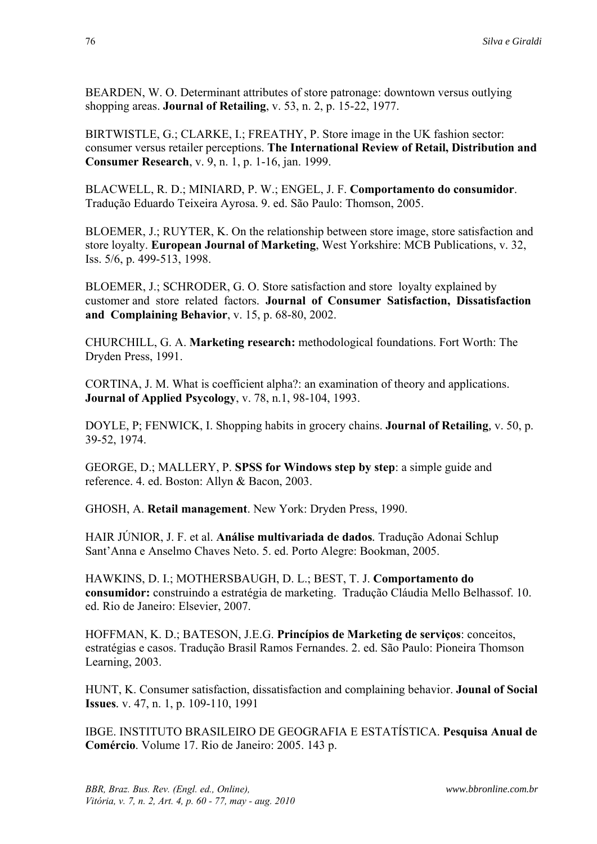BEARDEN, W. O. Determinant attributes of store patronage: downtown versus outlying shopping areas. **Journal of Retailing**, v. 53, n. 2, p. 15-22, 1977.

BIRTWISTLE, G.; CLARKE, I.; FREATHY, P. Store image in the UK fashion sector: consumer versus retailer perceptions. **The International Review of Retail, Distribution and Consumer Research**, v. 9, n. 1, p. 1-16, jan. 1999.

BLACWELL, R. D.; MINIARD, P. W.; ENGEL, J. F. **Comportamento do consumidor**. Tradução Eduardo Teixeira Ayrosa. 9. ed. São Paulo: Thomson, 2005.

BLOEMER, J.; RUYTER, K. On the relationship between store image, store satisfaction and store loyalty. **European Journal of Marketing**, West Yorkshire: MCB Publications, v. 32, Iss. 5/6, p. 499-513, 1998.

BLOEMER, J.; SCHRODER, G. O. Store satisfaction and store loyalty explained by customer and store related factors. **Journal of Consumer Satisfaction, Dissatisfaction and Complaining Behavior**, v. 15, p. 68-80, 2002.

CHURCHILL, G. A. **Marketing research:** methodological foundations. Fort Worth: The Dryden Press, 1991.

CORTINA, J. M. What is coefficient alpha?: an examination of theory and applications. **Journal of Applied Psycology**, v. 78, n.1, 98-104, 1993.

DOYLE, P; FENWICK, I. Shopping habits in grocery chains. **Journal of Retailing***,* v. 50, p. 39-52, 1974.

GEORGE, D.; MALLERY, P. **SPSS for Windows step by step**: a simple guide and reference. 4. ed. Boston: Allyn & Bacon, 2003.

GHOSH, A. **Retail management**. New York: Dryden Press, 1990.

HAIR JÚNIOR, J. F. et al. **Análise multivariada de dados***.* Tradução Adonai Schlup Sant'Anna e Anselmo Chaves Neto. 5. ed. Porto Alegre: Bookman, 2005.

HAWKINS, D. I.; MOTHERSBAUGH, D. L.; BEST, T. J. **Comportamento do consumidor:** construindo a estratégia de marketing. Tradução Cláudia Mello Belhassof. 10. ed. Rio de Janeiro: Elsevier, 2007.

HOFFMAN, K. D.; BATESON, J.E.G. **Princípios de Marketing de serviços**: conceitos, estratégias e casos. Tradução Brasil Ramos Fernandes. 2. ed. São Paulo: Pioneira Thomson Learning, 2003.

HUNT, K. Consumer satisfaction, dissatisfaction and complaining behavior. **Jounal of Social Issues***.* v. 47, n. 1, p. 109-110, 1991

IBGE. INSTITUTO BRASILEIRO DE GEOGRAFIA E ESTATÍSTICA. **Pesquisa Anual de Comércio**. Volume 17. Rio de Janeiro: 2005. 143 p.